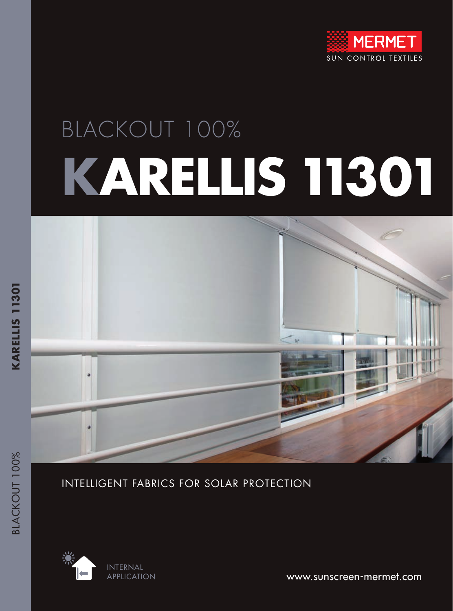

# BLACKOUT 100% **KARELLIS 11301**



INTELLIGENT FABRICS FOR SOLAR PROTECTION



www.sunscreen-mermet.com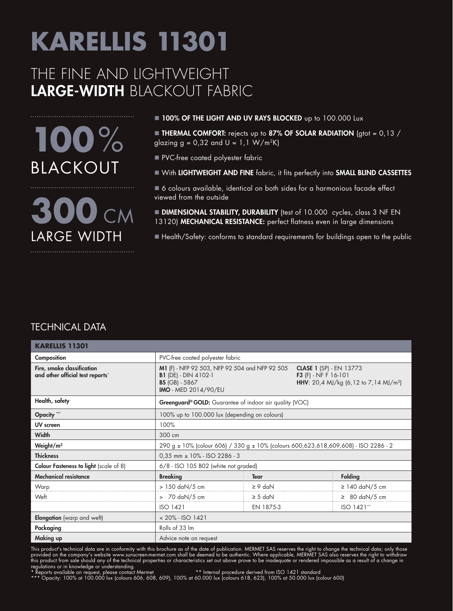#### THE FINE AND LIGHTWEIGHT LARGE-WIDTH BLACKOUT FABRIC

**100**% BLACKOUT

**300** CM LARGE WIDTH

#### **100% OF THE LIGHT AND UV RAYS BLOCKED** up to 100.000 Lux

**THERMAL COMFORT:** rejects up to 87% OF SOLAR RADIATION (gtot =  $0,13/$ ) glazing  $g = 0.32$  and  $U = 1.1 W/m^2K$ 

- **PVC-free coated polyester fabric**
- n With LIGHTWEIGHT AND FINE fabric, it fits perfectly into SMALL BLIND CASSETTES
- 6 colours available, identical on both sides for a harmonious facade effect viewed from the outside
- **DIMENSIONAL STABILITY, DURABILITY** (test of 10.000 cycles, class 3 NF EN 13120) MECHANICAL RESISTANCE: perfect flatness even in large dimensions
- Health/Safety: conforms to standard requirements for buildings open to the public

#### TECHNICAL DATA

| <b>KARELLIS 11301</b>                                          |                                                                                                                                                                                                                                                             |              |                                    |  |  |  |
|----------------------------------------------------------------|-------------------------------------------------------------------------------------------------------------------------------------------------------------------------------------------------------------------------------------------------------------|--------------|------------------------------------|--|--|--|
| Composition                                                    | PVC-free coated polyester fabric                                                                                                                                                                                                                            |              |                                    |  |  |  |
| Fire, smoke classification<br>and other official test reports* | M1 (F) - NFP 92 503, NFP 92 504 and NFP 92 505<br><b>CLASE 1 (SP) - EN 13773</b><br><b>B1</b> (DE) - DIN 4102-1<br><b>F3</b> (F) - NF F 16-101<br>HHV: 20,4 MJ/kg (6,12 to 7,14 MJ/m <sup>2</sup> )<br><b>BS</b> (GB) - 5867<br><b>IMO</b> - MED 2014/90/EU |              |                                    |  |  |  |
| Health, safety                                                 | Greenguard® GOLD: Guarantee of indoor air quality (VOC)                                                                                                                                                                                                     |              |                                    |  |  |  |
| Opacity ""                                                     | 100% up to 100.000 lux (depending on colours)                                                                                                                                                                                                               |              |                                    |  |  |  |
| UV screen                                                      | 100%                                                                                                                                                                                                                                                        |              |                                    |  |  |  |
| Width                                                          | 300 cm                                                                                                                                                                                                                                                      |              |                                    |  |  |  |
| Weight/ $m2$                                                   | 290 g ± 10% (colour 606) / 330 g ± 10% (colours 600,623,618,609,608) - ISO 2286 - 2                                                                                                                                                                         |              |                                    |  |  |  |
| <b>Thickness</b>                                               | $0.35$ mm $\pm$ 10% - ISO 2286 - 3                                                                                                                                                                                                                          |              |                                    |  |  |  |
| <b>Colour Fasteness to light</b> (scale of 8)                  | 6/8 - ISO 105 B02 (white not graded)                                                                                                                                                                                                                        |              |                                    |  |  |  |
| <b>Mechanical resistance</b>                                   | <b>Breaking</b>                                                                                                                                                                                                                                             | <b>Tear</b>  | <b>Folding</b>                     |  |  |  |
| Warp                                                           | $> 150$ daN/5 cm                                                                                                                                                                                                                                            | $\geq 9$ daN | $\geq$ 140 daN/5 cm                |  |  |  |
| Weft                                                           | $> 70$ daN/5 cm                                                                                                                                                                                                                                             | $\geq$ 5 daN | $\geq 80 \text{ daN}/5 \text{ cm}$ |  |  |  |
|                                                                | <b>ISO 1421</b>                                                                                                                                                                                                                                             | EN 1875-3    | ISO 1421**                         |  |  |  |
| <b>Elongation</b> (warp and weft)                              | $< 20\%$ - ISO 1421                                                                                                                                                                                                                                         |              |                                    |  |  |  |
| Packaging                                                      | Rolls of 33 Im                                                                                                                                                                                                                                              |              |                                    |  |  |  |
| Making up                                                      | Advice note on request                                                                                                                                                                                                                                      |              |                                    |  |  |  |

This product's technical data are in conformity with this brochure as of the date of publication. MERMET SAS reserves the right to change the technical data; only those provided on the company's website www.sunscreen-mermet.com shall be deemed to be authentic. Where applicable, MERMET SAS also reserves the right to withdraw this product from sale should any of the technical properties or characteristics set out above prove to be inadequate or rendered impossible as a result of a change in regulations or in knowledge or understanding.<br>\* Reports available on request, please contact Mermet \*\* Internal procedure derived from ISO 1421 standard

\*\* Internal procedure derived from ISO 1421 standard<br>\* Reports available on request, please contact Mermet \*\* Internal procedure derived from ISO 1421 standard<br>\*\*\* Opacity: 100% at 100.000 lux (colours 606, 608, 609), 100%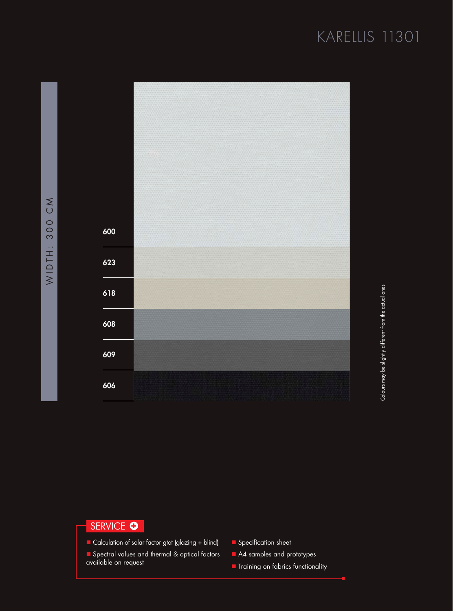

#### SERVICE **O**

- Calculation of solar factor gtot (glazing + blind)
- **n** Spectral values and thermal & optical factors available on request
- **n** Specification sheet
- A4 samples and prototypes
- **n** Training on fabrics functionality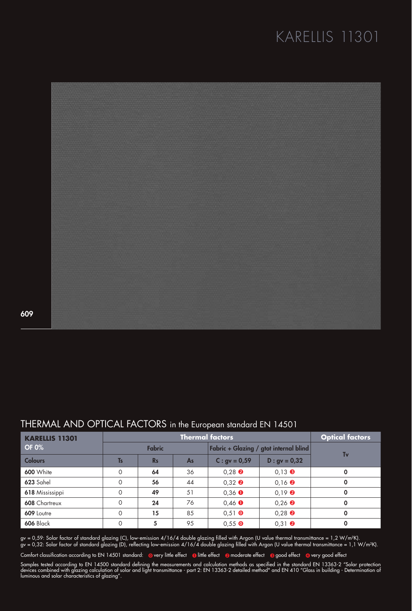

609

#### THERMAL AND OPTICAL FACTORS in the European standard EN 14501

| <b>KARELLIS 11301</b> | <b>Thermal factors</b> |           |    |                                        |                                      | <b>Optical factors</b> |
|-----------------------|------------------------|-----------|----|----------------------------------------|--------------------------------------|------------------------|
| <b>OF 0%</b>          | <b>Fabric</b>          |           |    | Fabric + Glazing / gtot internal blind |                                      |                        |
| <b>Colours</b>        | <b>T<sub>s</sub></b>   | <b>Rs</b> | As | $C:$ gv = 0,59                         | $D : gv = 0,32$                      | Tν                     |
| 600 White             | $\Omega$               | 64        | 36 | $0.28$ <b><math>\odot</math></b>       | $0.13$ $\bullet$                     | $\mathbf 0$            |
| 623 Sahel             | $\Omega$               | 56        | 44 | $0,32$ <b><math>\odot</math></b>       | $0,16$ <b><math>\odot</math></b>     | 0                      |
| 618 Mississippi       | $\Omega$               | 49        | 51 | $0,36$ $\bullet$                       | $0.19$ <b><math>\odot</math></b>     | 0                      |
| 608 Chartreux         | $\Omega$               | 24        | 76 | $0,46$ $\bullet$                       | $0.26$ <b><math>\odot</math></b>     | 0                      |
| 609 Loutre            | $\Omega$               | 15        | 85 | $0.51$ O                               | $0.28$ <b><math>\odot</math></b>     | 0                      |
| <b>606 Black</b>      | $\Omega$               | 5         | 95 | $0.55$ O                               | $0,31$ <sup><math>\odot</math></sup> | 0                      |

gv = 0,59: Solar factor of standard glazing (C), low-emission 4/16/4 double glazing filled with Argon (U value thermal transmittance = 1,2 W/m²K). gv = 0,32: Solar factor of standard glazing (D), reflecting low-emission 4/16/4 double glazing filled with Argon (U value thermal transmittance = 1,1 W/m²K).

Comfort classification according to EN 14501 standard: overy little effect o little effect a moderate effect a good effect overy good effect

Samples tested according to EN 14500 standard defining the measurements and calculation methods as specified in the standard EN 13363-2 "Solar protection devices combined with glazing calculation of solar and light transmittance - part 2: EN 13363-2 detailed method" and EN 410 "Glass in building - Determination of luminous and solar characteristics of glazing".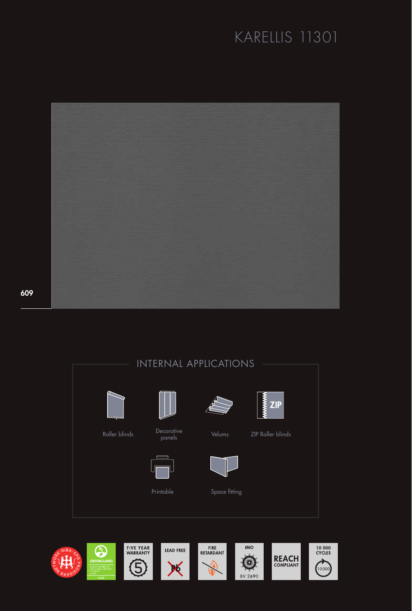

609